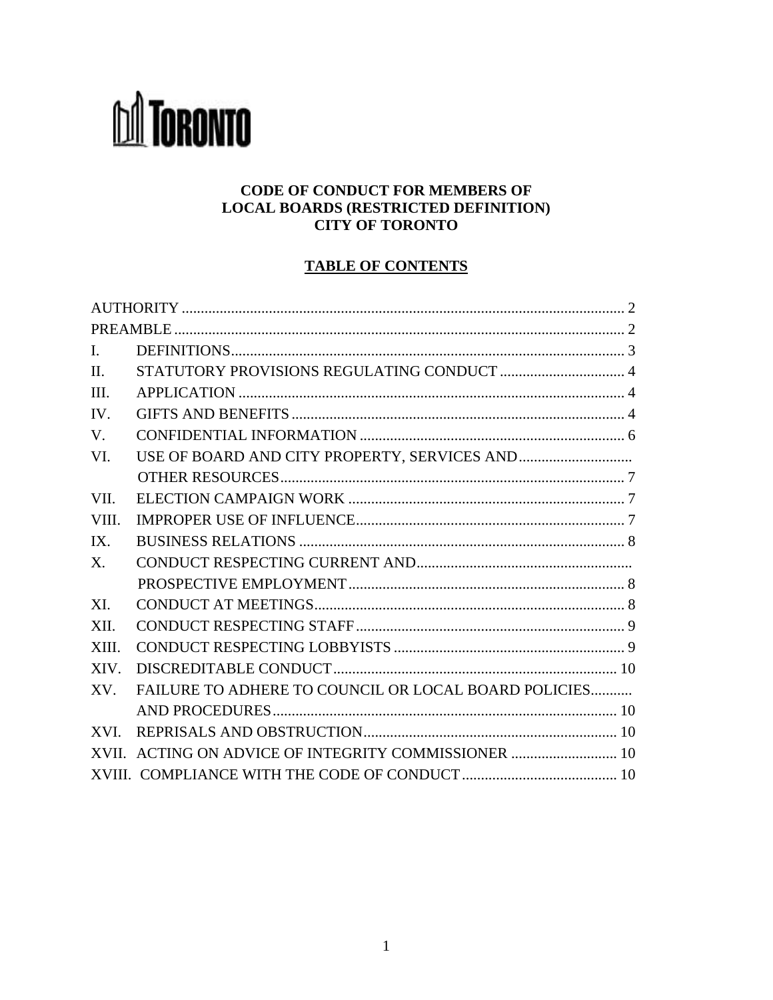# **M** TORONTO

#### **CODE OF CONDUCT FOR MEMBERS OF LOCAL BOARDS (RESTRICTED DEFINITION) CITY OF TORONTO**

# **TABLE OF CONTENTS**

| $\mathbf{I}$ . |                                                      |  |
|----------------|------------------------------------------------------|--|
| $\Pi$          |                                                      |  |
| III.           |                                                      |  |
| IV.            |                                                      |  |
| V.             |                                                      |  |
| VI.            |                                                      |  |
|                |                                                      |  |
| VII.           |                                                      |  |
| VIII.          |                                                      |  |
| IX.            |                                                      |  |
| X.             |                                                      |  |
|                |                                                      |  |
| XI.            |                                                      |  |
| XII.           |                                                      |  |
| XIII.          |                                                      |  |
| XIV.           |                                                      |  |
| XV.            | FAILURE TO ADHERE TO COUNCIL OR LOCAL BOARD POLICIES |  |
|                |                                                      |  |
| XVI.           |                                                      |  |
|                | XVII. ACTING ON ADVICE OF INTEGRITY COMMISSIONER  10 |  |
|                |                                                      |  |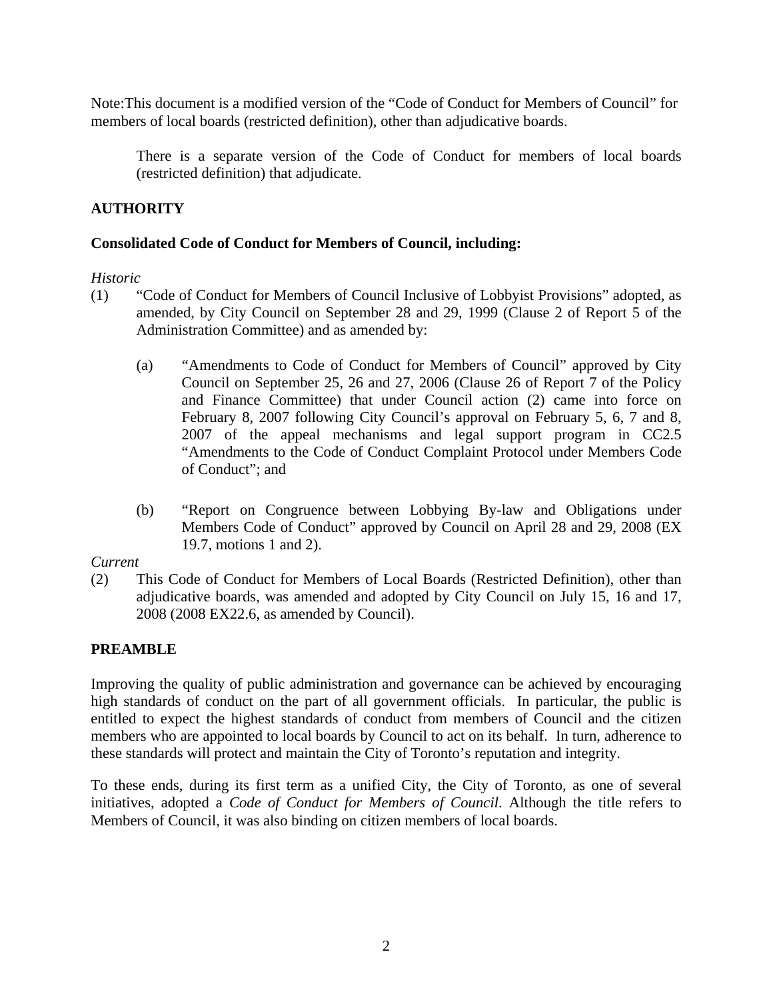<span id="page-1-0"></span>Note:This document is a modified version of the "Code of Conduct for Members of Council" for members of local boards (restricted definition), other than adjudicative boards.

There is a separate version of the Code of Conduct for members of local boards (restricted definition) that adjudicate.

#### **AUTHORITY**

#### **Consolidated Code of Conduct for Members of Council, including:**

#### *Historic*

- (1) "Code of Conduct for Members of Council Inclusive of Lobbyist Provisions" adopted, as amended, by City Council on September 28 and 29, 1999 (Clause 2 of Report 5 of the Administration Committee) and as amended by:
	- (a) "Amendments to Code of Conduct for Members of Council" approved by City Council on September 25, 26 and 27, 2006 (Clause 26 of Report 7 of the Policy and Finance Committee) that under Council action (2) came into force on February 8, 2007 following City Council's approval on February 5, 6, 7 and 8, 2007 of the appeal mechanisms and legal support program in CC2.5 "Amendments to the Code of Conduct Complaint Protocol under Members Code of Conduct"; and
	- (b) "Report on Congruence between Lobbying By-law and Obligations under Members Code of Conduct" approved by Council on April 28 and 29, 2008 (EX 19.7, motions 1 and 2).

*Current* 

(2) This Code of Conduct for Members of Local Boards (Restricted Definition), other than adjudicative boards, was amended and adopted by City Council on July 15, 16 and 17, 2008 (2008 EX22.6, as amended by Council).

#### **PREAMBLE**

Improving the quality of public administration and governance can be achieved by encouraging high standards of conduct on the part of all government officials. In particular, the public is entitled to expect the highest standards of conduct from members of Council and the citizen members who are appointed to local boards by Council to act on its behalf. In turn, adherence to these standards will protect and maintain the City of Toronto's reputation and integrity.

To these ends, during its first term as a unified City, the City of Toronto, as one of several initiatives, adopted a *Code of Conduct for Members of Council*. Although the title refers to Members of Council, it was also binding on citizen members of local boards.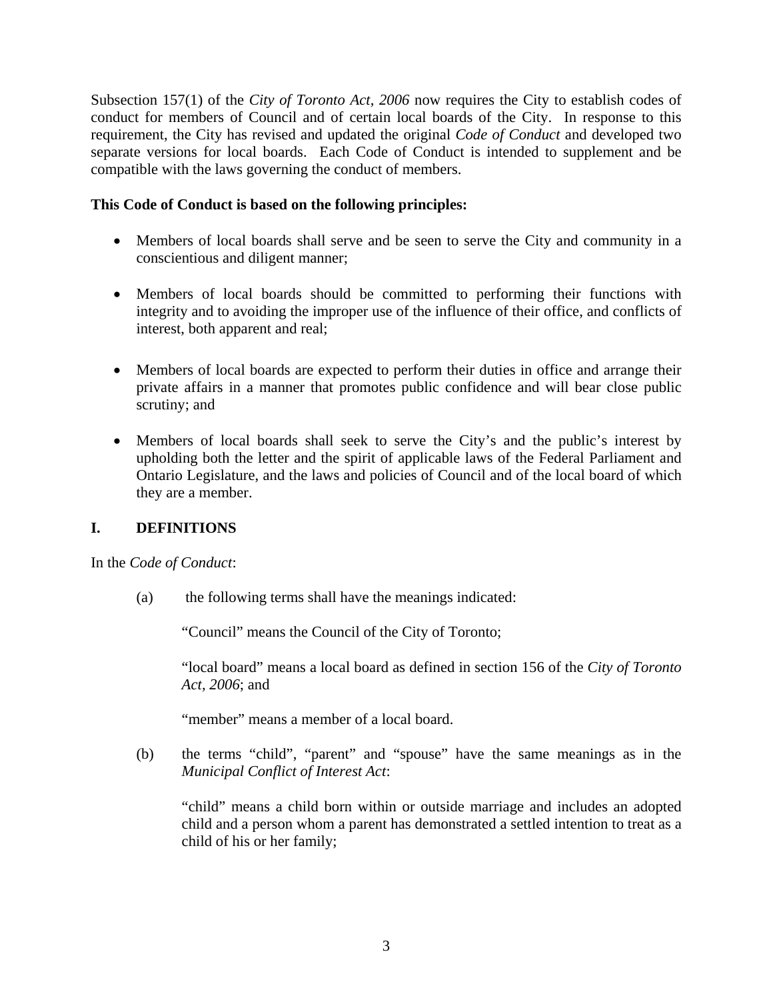<span id="page-2-0"></span>Subsection 157(1) of the *City of Toronto Act, 2006* now requires the City to establish codes of conduct for members of Council and of certain local boards of the City. In response to this requirement, the City has revised and updated the original *Code of Conduct* and developed two separate versions for local boards. Each Code of Conduct is intended to supplement and be compatible with the laws governing the conduct of members.

#### **This Code of Conduct is based on the following principles:**

- Members of local boards shall serve and be seen to serve the City and community in a conscientious and diligent manner;
- Members of local boards should be committed to performing their functions with integrity and to avoiding the improper use of the influence of their office, and conflicts of interest, both apparent and real;
- Members of local boards are expected to perform their duties in office and arrange their private affairs in a manner that promotes public confidence and will bear close public scrutiny; and
- Members of local boards shall seek to serve the City's and the public's interest by upholding both the letter and the spirit of applicable laws of the Federal Parliament and Ontario Legislature, and the laws and policies of Council and of the local board of which they are a member.

## **I. DEFINITIONS**

In the *Code of Conduct*:

(a)the following terms shall have the meanings indicated:

"Council" means the Council of the City of Toronto;

"local board" means a local board as defined in section 156 of the *City of Toronto Act, 2006*; and

"member" means a member of a local board.

(b) the terms "child", "parent" and "spouse" have the same meanings as in the *Municipal Conflict of Interest Act*:

"child" means a child born within or outside marriage and includes an adopted child and a person whom a parent has demonstrated a settled intention to treat as a child of his or her family;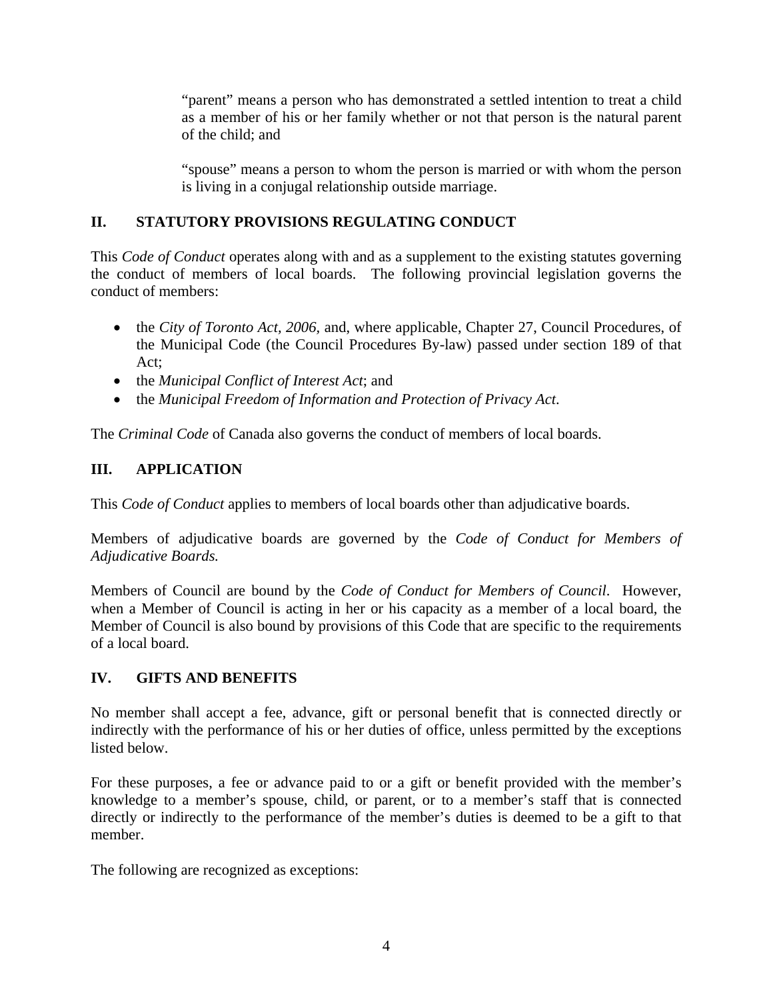<span id="page-3-0"></span>"parent" means a person who has demonstrated a settled intention to treat a child as a member of his or her family whether or not that person is the natural parent of the child; and

"spouse" means a person to whom the person is married or with whom the person is living in a conjugal relationship outside marriage.

# **II. STATUTORY PROVISIONS REGULATING CONDUCT**

This *Code of Conduct* operates along with and as a supplement to the existing statutes governing the conduct of members of local boards. The following provincial legislation governs the conduct of members:

- the *City of Toronto Act, 2006*, and, where applicable, Chapter 27, Council Procedures, of the Municipal Code (the Council Procedures By-law) passed under section 189 of that Act;
- the *Municipal Conflict of Interest Act*; and
- the *Municipal Freedom of Information and Protection of Privacy Act*.

The *Criminal Code* of Canada also governs the conduct of members of local boards.

# **III. APPLICATION**

This *Code of Conduct* applies to members of local boards other than adjudicative boards.

Members of adjudicative boards are governed by the *Code of Conduct for Members of Adjudicative Boards.*

Members of Council are bound by the *Code of Conduct for Members of Council*. However, when a Member of Council is acting in her or his capacity as a member of a local board, the Member of Council is also bound by provisions of this Code that are specific to the requirements of a local board.

# **IV. GIFTS AND BENEFITS**

No member shall accept a fee, advance, gift or personal benefit that is connected directly or indirectly with the performance of his or her duties of office, unless permitted by the exceptions listed below.

For these purposes, a fee or advance paid to or a gift or benefit provided with the member's knowledge to a member's spouse, child, or parent, or to a member's staff that is connected directly or indirectly to the performance of the member's duties is deemed to be a gift to that member.

The following are recognized as exceptions: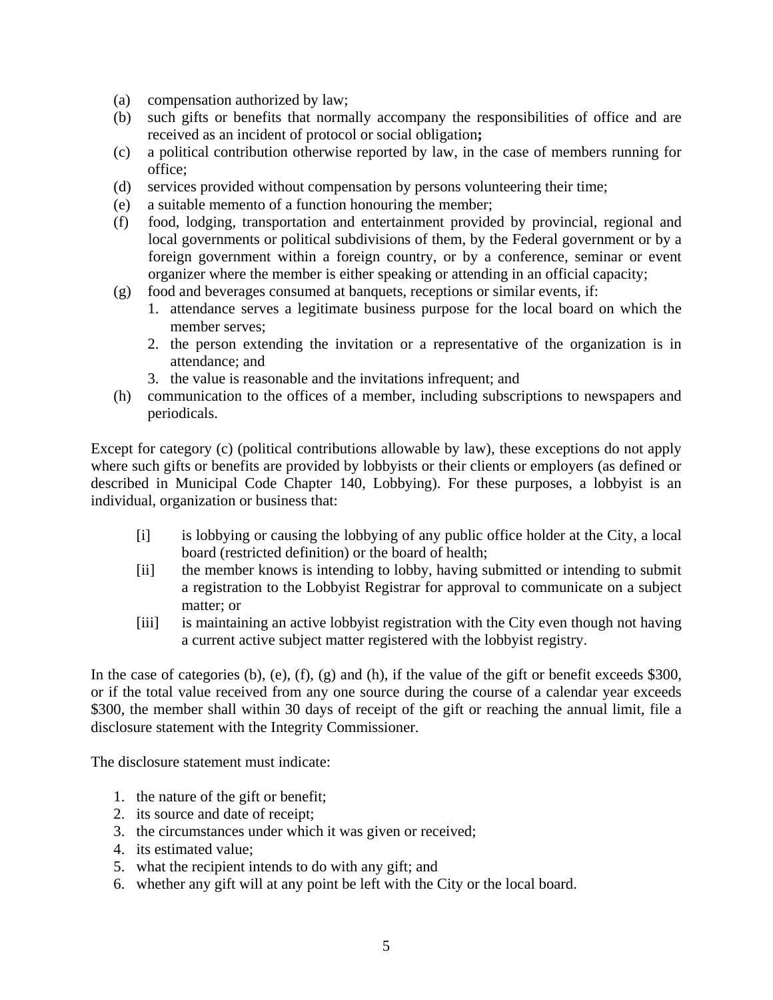- (a) compensation authorized by law;
- (b) such gifts or benefits that normally accompany the responsibilities of office and are received as an incident of protocol or social obligation**;**
- (c) a political contribution otherwise reported by law, in the case of members running for office;
- (d) services provided without compensation by persons volunteering their time;
- (e) a suitable memento of a function honouring the member;
- (f) food, lodging, transportation and entertainment provided by provincial, regional and local governments or political subdivisions of them, by the Federal government or by a foreign government within a foreign country, or by a conference, seminar or event organizer where the member is either speaking or attending in an official capacity;
- (g) food and beverages consumed at banquets, receptions or similar events, if:
	- 1. attendance serves a legitimate business purpose for the local board on which the member serves;
	- 2. the person extending the invitation or a representative of the organization is in attendance; and
	- 3. the value is reasonable and the invitations infrequent; and
- (h) communication to the offices of a member, including subscriptions to newspapers and periodicals.

Except for category (c) (political contributions allowable by law), these exceptions do not apply where such gifts or benefits are provided by lobbyists or their clients or employers (as defined or described in Municipal Code Chapter 140, Lobbying). For these purposes, a lobbyist is an individual, organization or business that:

- [i] is lobbying or causing the lobbying of any public office holder at the City, a local board (restricted definition) or the board of health;
- [ii] the member knows is intending to lobby, having submitted or intending to submit a registration to the Lobbyist Registrar for approval to communicate on a subject matter; or
- [iii] is maintaining an active lobbyist registration with the City even though not having a current active subject matter registered with the lobbyist registry.

In the case of categories (b), (e), (f), (g) and (h), if the value of the gift or benefit exceeds \$300, or if the total value received from any one source during the course of a calendar year exceeds \$300, the member shall within 30 days of receipt of the gift or reaching the annual limit, file a disclosure statement with the Integrity Commissioner.

The disclosure statement must indicate:

- 1. the nature of the gift or benefit;
- 2. its source and date of receipt;
- 3. the circumstances under which it was given or received;
- 4. its estimated value;
- 5. what the recipient intends to do with any gift; and
- 6. whether any gift will at any point be left with the City or the local board.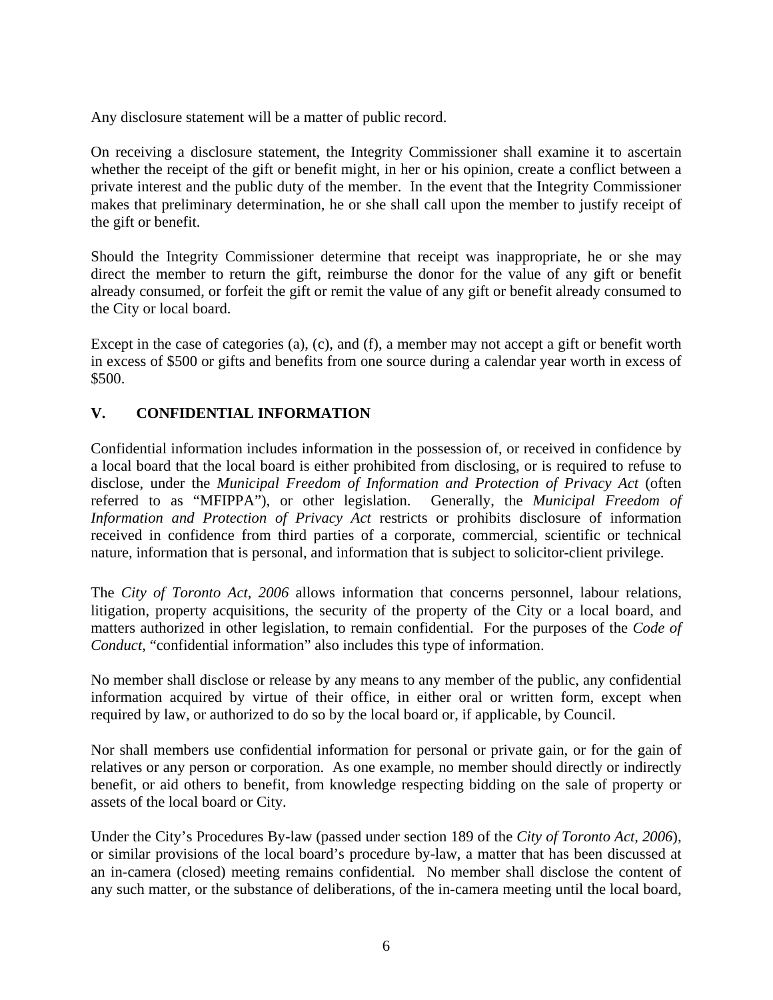<span id="page-5-0"></span>Any disclosure statement will be a matter of public record.

On receiving a disclosure statement, the Integrity Commissioner shall examine it to ascertain whether the receipt of the gift or benefit might, in her or his opinion, create a conflict between a private interest and the public duty of the member. In the event that the Integrity Commissioner makes that preliminary determination, he or she shall call upon the member to justify receipt of the gift or benefit.

Should the Integrity Commissioner determine that receipt was inappropriate, he or she may direct the member to return the gift, reimburse the donor for the value of any gift or benefit already consumed, or forfeit the gift or remit the value of any gift or benefit already consumed to the City or local board.

Except in the case of categories (a), (c), and (f), a member may not accept a gift or benefit worth in excess of \$500 or gifts and benefits from one source during a calendar year worth in excess of \$500.

# **V. CONFIDENTIAL INFORMATION**

Confidential information includes information in the possession of, or received in confidence by a local board that the local board is either prohibited from disclosing, or is required to refuse to disclose, under the *Municipal Freedom of Information and Protection of Privacy Act* (often referred to as "MFIPPA"), or other legislation. Generally, the *Municipal Freedom of Information and Protection of Privacy Act* restricts or prohibits disclosure of information received in confidence from third parties of a corporate, commercial, scientific or technical nature, information that is personal, and information that is subject to solicitor-client privilege.

The *City of Toronto Act, 2006* allows information that concerns personnel, labour relations, litigation, property acquisitions, the security of the property of the City or a local board, and matters authorized in other legislation, to remain confidential. For the purposes of the *Code of Conduct*, "confidential information" also includes this type of information.

No member shall disclose or release by any means to any member of the public, any confidential information acquired by virtue of their office, in either oral or written form, except when required by law, or authorized to do so by the local board or, if applicable, by Council.

Nor shall members use confidential information for personal or private gain, or for the gain of relatives or any person or corporation. As one example, no member should directly or indirectly benefit, or aid others to benefit, from knowledge respecting bidding on the sale of property or assets of the local board or City.

Under the City's Procedures By-law (passed under section 189 of the *City of Toronto Act, 2006*), or similar provisions of the local board's procedure by-law, a matter that has been discussed at an in-camera (closed) meeting remains confidential*.* No member shall disclose the content of any such matter, or the substance of deliberations, of the in-camera meeting until the local board,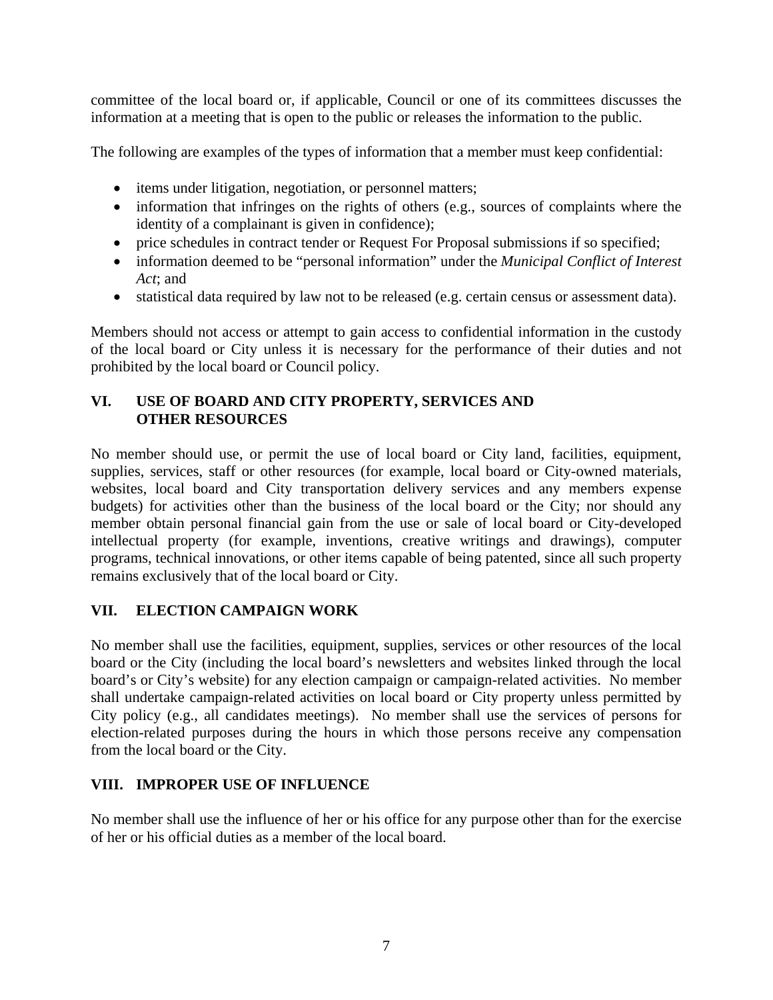<span id="page-6-0"></span>committee of the local board or, if applicable, Council or one of its committees discusses the information at a meeting that is open to the public or releases the information to the public.

The following are examples of the types of information that a member must keep confidential:

- items under litigation, negotiation, or personnel matters;
- information that infringes on the rights of others (e.g., sources of complaints where the identity of a complainant is given in confidence);
- price schedules in contract tender or Request For Proposal submissions if so specified;
- information deemed to be "personal information" under the *Municipal Conflict of Interest Act*; and
- statistical data required by law not to be released (e.g. certain census or assessment data).

Members should not access or attempt to gain access to confidential information in the custody of the local board or City unless it is necessary for the performance of their duties and not prohibited by the local board or Council policy.

## **VI. USE OF BOARD AND CITY PROPERTY, SERVICES AND OTHER RESOURCES**

No member should use, or permit the use of local board or City land, facilities, equipment, supplies, services, staff or other resources (for example, local board or City-owned materials, websites, local board and City transportation delivery services and any members expense budgets) for activities other than the business of the local board or the City; nor should any member obtain personal financial gain from the use or sale of local board or City-developed intellectual property (for example, inventions, creative writings and drawings), computer programs, technical innovations, or other items capable of being patented, since all such property remains exclusively that of the local board or City.

## **VII. ELECTION CAMPAIGN WORK**

No member shall use the facilities, equipment, supplies, services or other resources of the local board or the City (including the local board's newsletters and websites linked through the local board's or City's website) for any election campaign or campaign-related activities. No member shall undertake campaign-related activities on local board or City property unless permitted by City policy (e.g., all candidates meetings). No member shall use the services of persons for election-related purposes during the hours in which those persons receive any compensation from the local board or the City.

## **VIII. IMPROPER USE OF INFLUENCE**

No member shall use the influence of her or his office for any purpose other than for the exercise of her or his official duties as a member of the local board.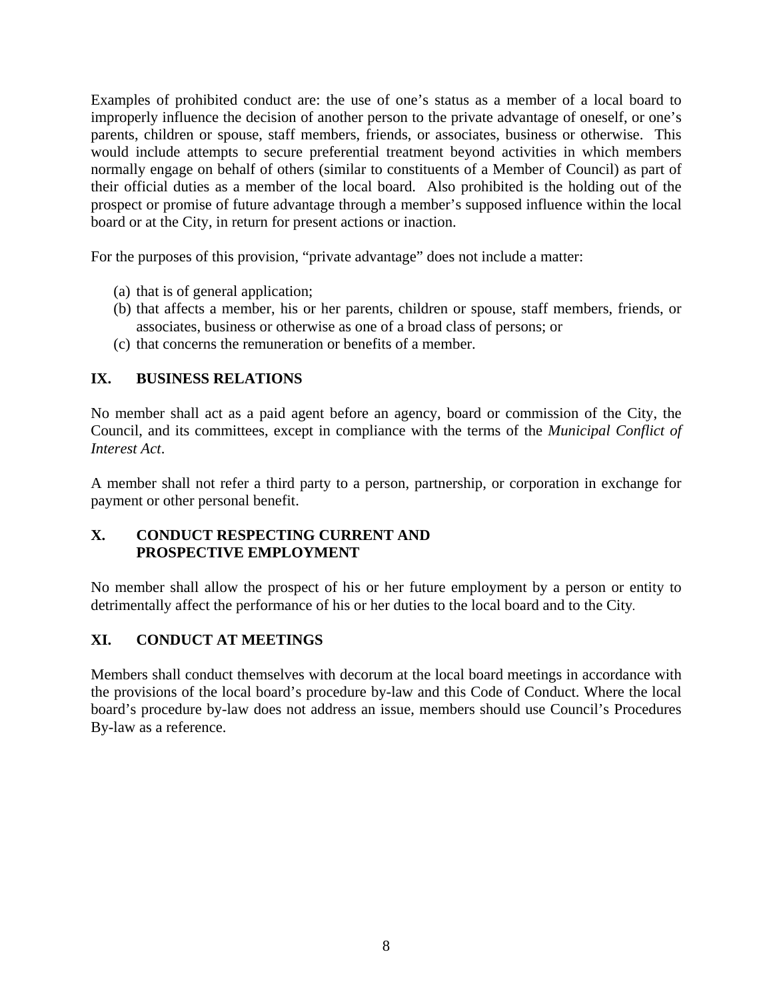<span id="page-7-0"></span>Examples of prohibited conduct are: the use of one's status as a member of a local board to improperly influence the decision of another person to the private advantage of oneself, or one's parents, children or spouse, staff members, friends, or associates, business or otherwise. This would include attempts to secure preferential treatment beyond activities in which members normally engage on behalf of others (similar to constituents of a Member of Council) as part of their official duties as a member of the local board. Also prohibited is the holding out of the prospect or promise of future advantage through a member's supposed influence within the local board or at the City, in return for present actions or inaction.

For the purposes of this provision, "private advantage" does not include a matter:

- (a) that is of general application;
- (b) that affects a member, his or her parents, children or spouse, staff members, friends, or associates, business or otherwise as one of a broad class of persons; or
- (c) that concerns the remuneration or benefits of a member.

## **IX. BUSINESS RELATIONS**

No member shall act as a paid agent before an agency, board or commission of the City, the Council, and its committees, except in compliance with the terms of the *Municipal Conflict of Interest Act*.

A member shall not refer a third party to a person, partnership, or corporation in exchange for payment or other personal benefit.

#### **X. CONDUCT RESPECTING CURRENT AND PROSPECTIVE EMPLOYMENT**

No member shall allow the prospect of his or her future employment by a person or entity to detrimentally affect the performance of his or her duties to the local board and to the City*.* 

## **XI. CONDUCT AT MEETINGS**

Members shall conduct themselves with decorum at the local board meetings in accordance with the provisions of the local board's procedure by-law and this Code of Conduct. Where the local board's procedure by-law does not address an issue, members should use Council's Procedures By-law as a reference.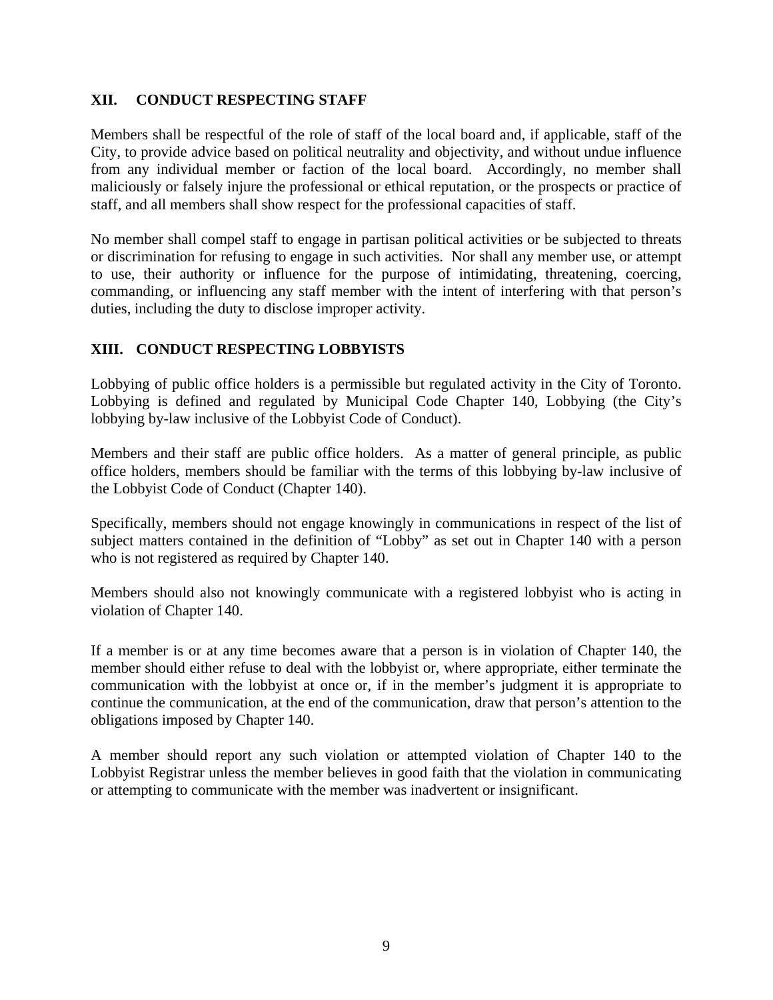#### <span id="page-8-0"></span>**XII. CONDUCT RESPECTING STAFF**

Members shall be respectful of the role of staff of the local board and, if applicable, staff of the City, to provide advice based on political neutrality and objectivity, and without undue influence from any individual member or faction of the local board. Accordingly, no member shall maliciously or falsely injure the professional or ethical reputation, or the prospects or practice of staff, and all members shall show respect for the professional capacities of staff.

No member shall compel staff to engage in partisan political activities or be subjected to threats or discrimination for refusing to engage in such activities. Nor shall any member use, or attempt to use, their authority or influence for the purpose of intimidating, threatening, coercing, commanding, or influencing any staff member with the intent of interfering with that person's duties, including the duty to disclose improper activity.

#### **XIII. CONDUCT RESPECTING LOBBYISTS**

Lobbying of public office holders is a permissible but regulated activity in the City of Toronto. Lobbying is defined and regulated by Municipal Code Chapter 140, Lobbying (the City's lobbying by-law inclusive of the Lobbyist Code of Conduct).

Members and their staff are public office holders. As a matter of general principle, as public office holders, members should be familiar with the terms of this lobbying by-law inclusive of the Lobbyist Code of Conduct (Chapter 140).

Specifically, members should not engage knowingly in communications in respect of the list of subject matters contained in the definition of "Lobby" as set out in Chapter 140 with a person who is not registered as required by Chapter 140.

Members should also not knowingly communicate with a registered lobbyist who is acting in violation of Chapter 140.

If a member is or at any time becomes aware that a person is in violation of Chapter 140, the member should either refuse to deal with the lobbyist or, where appropriate, either terminate the communication with the lobbyist at once or, if in the member's judgment it is appropriate to continue the communication, at the end of the communication, draw that person's attention to the obligations imposed by Chapter 140.

A member should report any such violation or attempted violation of Chapter 140 to the Lobbyist Registrar unless the member believes in good faith that the violation in communicating or attempting to communicate with the member was inadvertent or insignificant.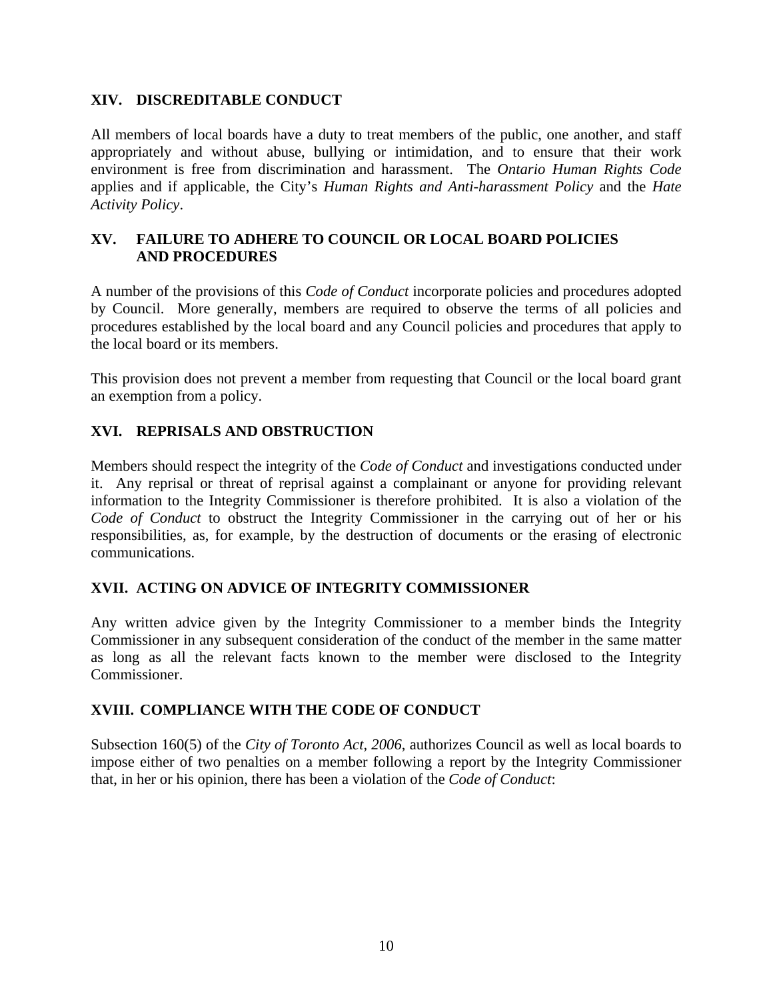#### <span id="page-9-0"></span>**XIV. DISCREDITABLE CONDUCT**

All members of local boards have a duty to treat members of the public, one another, and staff appropriately and without abuse, bullying or intimidation, and to ensure that their work environment is free from discrimination and harassment. The *Ontario Human Rights Code* applies and if applicable, the City's *Human Rights and Anti-harassment Policy* and the *Hate Activity Policy*.

#### **XV. FAILURE TO ADHERE TO COUNCIL OR LOCAL BOARD POLICIES AND PROCEDURES**

A number of the provisions of this *Code of Conduct* incorporate policies and procedures adopted by Council. More generally, members are required to observe the terms of all policies and procedures established by the local board and any Council policies and procedures that apply to the local board or its members.

This provision does not prevent a member from requesting that Council or the local board grant an exemption from a policy.

## **XVI. REPRISALS AND OBSTRUCTION**

Members should respect the integrity of the *Code of Conduct* and investigations conducted under it. Any reprisal or threat of reprisal against a complainant or anyone for providing relevant information to the Integrity Commissioner is therefore prohibited. It is also a violation of the *Code of Conduct* to obstruct the Integrity Commissioner in the carrying out of her or his responsibilities, as, for example, by the destruction of documents or the erasing of electronic communications.

## **XVII. ACTING ON ADVICE OF INTEGRITY COMMISSIONER**

Any written advice given by the Integrity Commissioner to a member binds the Integrity Commissioner in any subsequent consideration of the conduct of the member in the same matter as long as all the relevant facts known to the member were disclosed to the Integrity Commissioner.

## **XVIII. COMPLIANCE WITH THE CODE OF CONDUCT**

Subsection 160(5) of the *City of Toronto Act, 2006*, authorizes Council as well as local boards to impose either of two penalties on a member following a report by the Integrity Commissioner that, in her or his opinion, there has been a violation of the *Code of Conduct*: